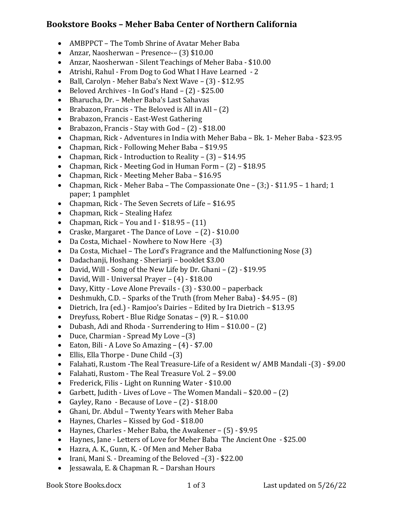# **Bookstore Books – Meher Baba Center of Northern California**

- AMBPPCT The Tomb Shrine of Avatar Meher Baba
- Anzar, Naosherwan Presence-–  $(3)$  \$10.00
- Anzar, Naosherwan Silent Teachings of Meher Baba \$10.00
- Atrishi, Rahul From Dog to God What I Have Learned 2
- Ball, Carolyn Meher Baba's Next Wave (3) \$12.95
- Beloved Archives In God's Hand  $(2) $25.00$
- Bharucha, Dr. Meher Baba's Last Sahavas
- Brabazon, Francis The Beloved is All in All  $(2)$
- Brabazon, Francis East-West Gathering
- Brabazon, Francis Stay with  $God (2) $18.00$
- Chapman, Rick Adventures in India with Meher Baba Bk. 1 Meher Baba \$23.95
- Chapman, Rick Following Meher Baba \$19.95
- Chapman, Rick Introduction to Reality  $(3)$  \$14.95
- Chapman, Rick Meeting God in Human Form  $(2) $18.95$
- Chapman, Rick Meeting Meher Baba \$16.95
- Chapman, Rick Meher Baba The Compassionate One  $(3;)$  \$11.95 1 hard; 1 paper; 1 pamphlet
- Chapman, Rick The Seven Secrets of Life \$16.95
- Chapman, Rick Stealing Hafez
- Chapman, Rick You and I  $$18.95 (11)$
- Craske, Margaret The Dance of Love  $(2) $10.00$
- Da Costa, Michael Nowhere to Now Here  $-(3)$
- Da Costa, Michael The Lord's Fragrance and the Malfunctioning Nose (3)
- Dadachanji, Hoshang Sheriarji booklet \$3.00
- David, Will Song of the New Life by Dr. Ghani  $(2) $19.95$
- David, Will Universal Prayer  $(4) $18.00$
- Davy, Kitty Love Alone Prevails (3) \$30.00 paperback
- Deshmukh, C.D. Sparks of the Truth (from Meher Baba)  $-$  \$4.95 (8)
- Dietrich, Ira (ed.) Ramjoo's Dairies Edited by Ira Dietrich \$13.95
- Dreyfuss, Robert Blue Ridge Sonatas (9) R. \$10.00
- Dubash, Adi and Rhoda Surrendering to  $\text{Him} $10.00 (2)$
- Duce, Charmian Spread My Love  $-(3)$
- Eaton, Bili A Love So Amazing  $(4) $7.00$
- Ellis, Ella Thorpe Dune Child  $-(3)$
- Falahati, R.ustom -The Real Treasure-Life of a Resident w/ AMB Mandali -(3) \$9.00
- Falahati, Rustom The Real Treasure Vol. 2 \$9.00
- Frederick, Filis Light on Running Water \$10.00
- Garbett, Judith Lives of Love The Women Mandali  $$20.00 (2)$
- Gayley, Rano Because of Love  $(2) $18.00$
- Ghani, Dr. Abdul Twenty Years with Meher Baba
- Haynes, Charles Kissed by God  $$18.00$
- Haynes, Charles Meher Baba, the Awakener  $-$  (5) \$9.95
- Haynes, Jane Letters of Love for Meher Baba The Ancient One \$25.00
- Hazra, A. K., Gunn, K. Of Men and Meher Baba
- Irani, Mani S. Dreaming of the Beloved  $-(3)$  \$22.00
- Jessawala, E. & Chapman R. Darshan Hours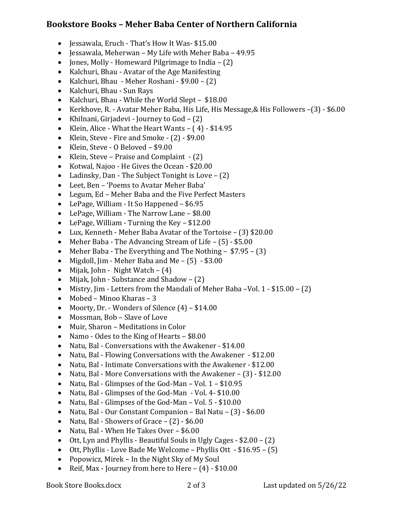# **Bookstore Books – Meher Baba Center of Northern California**

- Jessawala, Eruch That's How It Was- \$15.00
- Jessawala, Meherwan My Life with Meher Baba 49.95
- Jones, Molly Homeward Pilgrimage to India  $-$  (2)
- Kalchuri, Bhau Avatar of the Age Manifesting
- Kalchuri, Bhau Meher Roshani \$9.00 (2)
- Kalchuri, Bhau Sun Rays
- Kalchuri, Bhau While the World Slept \$18.00
- Kerkhove, R. Avatar Meher Baba, His Life, His Message, & His Followers -(3) \$6.00
- Khilnani, Girjadevi Journey to  $God (2)$
- Klein, Alice What the Heart Wants  $-$  (4) \$14.95
- Klein, Steve Fire and Smoke  $(2)$  \$9.00
- Klein, Steve O Beloved \$9.00
- Klein, Steve Praise and Complaint  $-$  (2)
- Kotwal, Najoo He Gives the Ocean \$20.00
- Ladinsky, Dan The Subject Tonight is Love  $-$  (2)
- Leet, Ben 'Poems to Avatar Meher Baba'
- Legum, Ed Meher Baba and the Five Perfect Masters
- LePage, William It So Happened \$6.95
- LePage, William The Narrow Lane \$8.00
- LePage, William Turning the  $Key $12.00$
- Lux, Kenneth Meher Baba Avatar of the Tortoise (3) \$20.00
- Meher Baba The Advancing Stream of Life  $-$  (5) \$5.00
- Meher Baba The Everything and The Nothing  $$7.95 (3)$
- Migdoll,  $\lim$  Meher Baba and Me  $(5)$  \$3.00
- Mijak, John Night Watch  $(4)$
- Mijak, John Substance and Shadow  $(2)$
- Mistry, Jim Letters from the Mandali of Meher Baba -Vol.  $1 $15.00 (2)$
- Mobed Minoo Kharas  $3$
- Moorty, Dr. Wonders of Silence  $(4) $14.00$
- Mossman, Bob Slave of Love
- Muir, Sharon Meditations in Color
- Namo Odes to the King of Hearts  $-$  \$8.00
- Natu, Bal Conversations with the Awakener \$14.00
- Natu, Bal Flowing Conversations with the Awakener \$12.00
- Natu, Bal Intimate Conversations with the Awakener \$12.00
- Natu, Bal More Conversations with the Awakener  $(3) $12.00$
- Natu, Bal Glimpses of the God-Man Vol.  $1 $10.95$
- Natu, Bal Glimpses of the God-Man Vol. 4- \$10.00
- Natu, Bal Glimpses of the God-Man Vol. 5 \$10.00
- Natu, Bal Our Constant Companion Bal Natu  $(3)$  \$6.00
- Natu, Bal Showers of Grace  $(2) $6.00$
- Natu, Bal When He Takes Over \$6.00
- Ott, Lyn and Phyllis Beautiful Souls in Ugly Cages  $$2.00 (2)$
- Ott, Phyllis Love Bade Me Welcome Phyllis Ott  $$16.95 (5)$
- Popowicz, Mirek In the Night Sky of My Soul
- Reif, Max Journey from here to Here  $(4) $10.00$